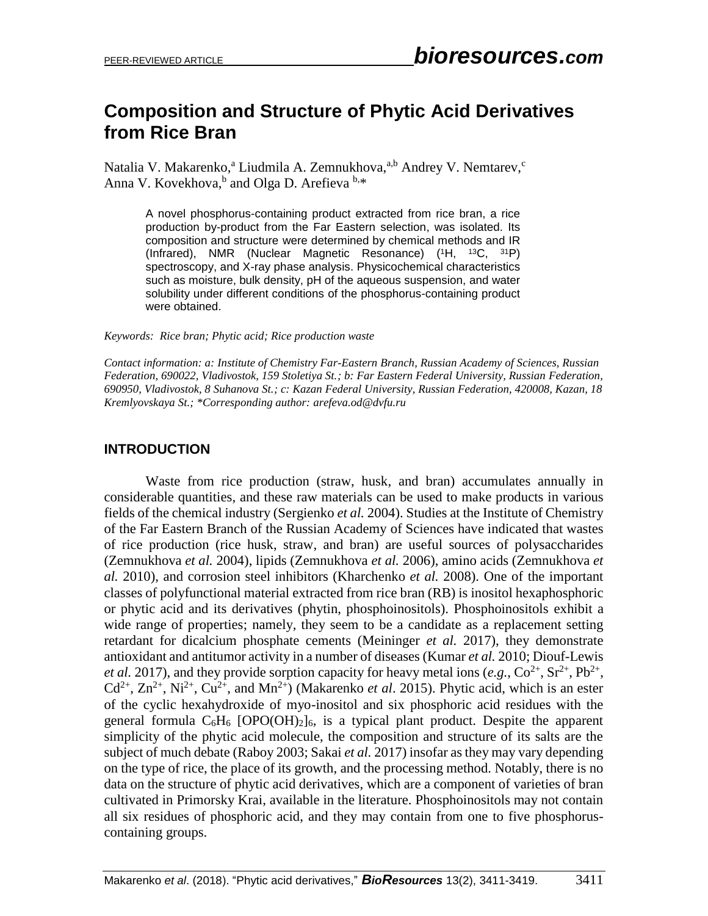# **Composition and Structure of Phytic Acid Derivatives from Rice Bran**

Natalia V. Makarenko,<sup>a</sup> Liudmila A. Zemnukhova, a,b Andrey V. Nemtarev,<sup>c</sup> Anna V. Kovekhova, <sup>b</sup> and Olga D. Arefieva <sup>b,\*</sup>

A novel phosphorus-containing product extracted from rice bran, a rice production by-product from the Far Eastern selection, was isolated. Its composition and structure were determined by chemical methods and IR (Infrared), NMR (Nuclear Magnetic Resonance) ( <sup>1</sup>H, <sup>13</sup>C, <sup>31</sup>P) spectroscopy, and X-ray phase analysis. Physicochemical characteristics such as moisture, bulk density, pH of the aqueous suspension, and water solubility under different conditions of the phosphorus-containing product were obtained.

*Keywords: Rice bran; Phytic acid; Rice production waste*

*Contact information: a: Institute of Chemistry Far-Eastern Branch, Russian Academy of Sciences, Russian Federation, 690022, Vladivostok, 159 Stoletiya St.; b: Far Eastern Federal University, Russian Federation, 690950, Vladivostok, 8 Suhanova St.; c: Kazan Federal University, Russian Federation, 420008, Kazan, 18 Kremlyovskaya St.; \*Corresponding author: arefeva.od@dvfu.ru*

#### **INTRODUCTION**

Waste from rice production (straw, husk, and bran) accumulates annually in considerable quantities, and these raw materials can be used to make products in various fields of the chemical industry (Sergienko *et al.* 2004). Studies at the Institute of Chemistry of the Far Eastern Branch of the Russian Academy of Sciences have indicated that wastes of rice production (rice husk, straw, and bran) are useful sources of polysaccharides (Zemnukhova *et al.* 2004), lipids (Zemnukhova *et al.* 2006), amino acids (Zemnukhova *et al.* 2010), and corrosion steel inhibitors (Kharchenko *et al.* 2008). One of the important classes of polyfunctional material extracted from rice bran (RB) is inositol hexaphosphoric or phytic acid and its derivatives (phytin, phosphoinositols). Phosphoinositols exhibit a wide range of properties; namely, they seem to be a candidate as a replacement setting retardant for dicalcium phosphate cements (Meininger *et al.* 2017), they demonstrate antioxidant and antitumor activity in a number of diseases (Kumar *et al.* 2010; Diouf-Lewis *et al.* 2017), and they provide sorption capacity for heavy metal ions (*e.g.*,  $Co^{2+}$ ,  $Sr^{2+}$ ,  $Pb^{2+}$ ,  $Cd^{2+}$ ,  $Zn^{2+}$ ,  $Ni^{2+}$ ,  $Cu^{2+}$ , and  $Mn^{2+}$ ) (Makarenko *et al.* 2015). Phytic acid, which is an ester of the cyclic hexahydroxide of myo-inositol and six phosphoric acid residues with the general formula  $C_6H_6$  [OPO(OH)<sub>2</sub>]<sub>6</sub>, is a typical plant product. Despite the apparent simplicity of the phytic acid molecule, the composition and structure of its salts are the subject of much debate (Raboy 2003; Sakai *et al.* 2017) insofar as they may vary depending on the type of rice, the place of its growth, and the processing method. Notably, there is no data on the structure of phytic acid derivatives, which are a component of varieties of bran cultivated in Primorsky Krai, available in the literature. Phosphoinositols may not contain all six residues of phosphoric acid, and they may contain from one to five phosphoruscontaining groups.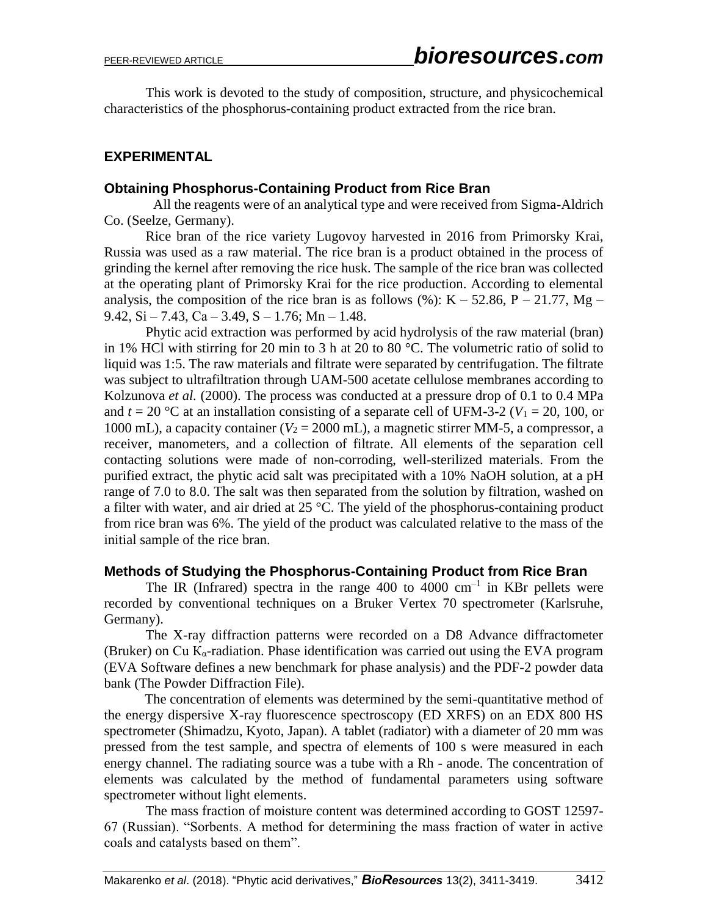This work is devoted to the study of composition, structure, and physicochemical characteristics of the phosphorus-containing product extracted from the rice bran.

### **EXPERIMENTAL**

#### **Obtaining Phosphorus-Containing Product from Rice Bran**

All the reagents were of an analytical type and were received from Sigma-Aldrich Co. (Seelze, Germany).

Rice bran of the rice variety Lugovoy harvested in 2016 from Primorsky Krai, Russia was used as a raw material. The rice bran is a product obtained in the process of grinding the kernel after removing the rice husk. The sample of the rice bran was collected at the operating plant of Primorsky Krai for the rice production. According to elemental analysis, the composition of the rice bran is as follows (%):  $K - 52.86$ ,  $P - 21.77$ , Mg – 9.42, Si – 7.43, Ca – 3.49, S – 1.76; Mn – 1.48.

Phytic acid extraction was performed by acid hydrolysis of the raw material (bran) in 1% HCl with stirring for 20 min to 3 h at 20 to 80 °C. The volumetric ratio of solid to liquid was 1:5. The raw materials and filtrate were separated by centrifugation. The filtrate was subject to ultrafiltration through UAM-500 acetate cellulose membranes according to Kolzunova *et al.* (2000). The process was conducted at a pressure drop of 0.1 to 0.4 MPa and  $t = 20$  °C at an installation consisting of a separate cell of UFM-3-2 ( $V_1 = 20$ , 100, or 1000 mL), a capacity container  $(V_2 = 2000 \text{ mL})$ , a magnetic stirrer MM-5, a compressor, a receiver, manometers, and a collection of filtrate. All elements of the separation cell contacting solutions were made of non-corroding, well-sterilized materials. From the purified extract, the phytic acid salt was precipitated with a 10% NaOH solution, at a pH range of 7.0 to 8.0. The salt was then separated from the solution by filtration, washed on a filter with water, and air dried at 25 °C. The yield of the phosphorus-containing product from rice bran was 6%. The yield of the product was calculated relative to the mass of the initial sample of the rice bran.

#### **Methods of Studying the Phosphorus-Containing Product from Rice Bran**

The IR (Infrared) spectra in the range  $400$  to  $4000 \text{ cm}^{-1}$  in KBr pellets were recorded by conventional techniques on a Bruker Vertex 70 spectrometer (Karlsruhe, Germany).

The X-ray diffraction patterns were recorded on a D8 Advance diffractometer (Bruker) on Cu  $K_{\alpha}$ -radiation. Phase identification was carried out using the EVA program (EVA Software defines a new benchmark for phase analysis) and the PDF-2 powder data bank (The Powder Diffraction File).

The concentration of elements was determined by the semi-quantitative method of the energy dispersive X-ray fluorescence spectroscopy (ED XRFS) on an EDX 800 HS spectrometer (Shimadzu, Kyoto, Japan). A tablet (radiator) with a diameter of 20 mm was pressed from the test sample, and spectra of elements of 100 s were measured in each energy channel. The radiating source was a tube with a Rh - anode. The concentration of elements was calculated by the method of fundamental parameters using software spectrometer without light elements.

The mass fraction of moisture content was determined according to GOST 12597- 67 (Russian). "Sorbents. A method for determining the mass fraction of water in active coals and catalysts based on them".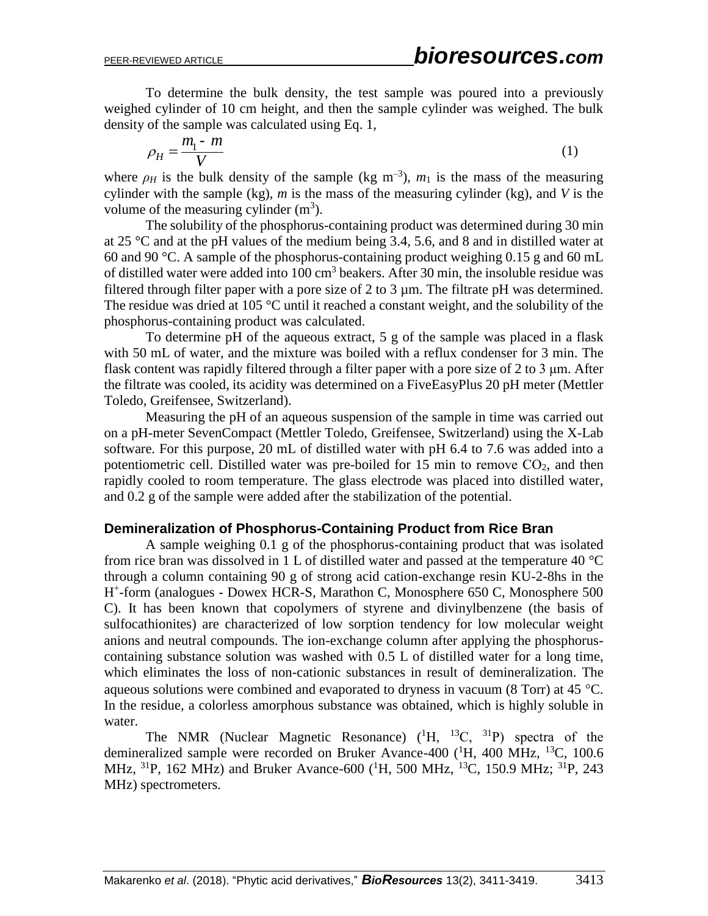To determine the bulk density, the test sample was poured into a previously weighed cylinder of 10 cm height, and then the sample cylinder was weighed. The bulk density of the sample was calculated using Eq. 1,

$$
\rho_H = \frac{m_1 - m}{V} \tag{1}
$$

where  $\rho$ *H* is the bulk density of the sample (kg m<sup>-3</sup>),  $m_1$  is the mass of the measuring cylinder with the sample (kg), *m* is the mass of the measuring cylinder (kg), and *V* is the volume of the measuring cylinder  $(m^3)$ .

The solubility of the phosphorus-containing product was determined during 30 min at 25 °C and at the pH values of the medium being 3.4, 5.6, and 8 and in distilled water at 60 and 90 °C. A sample of the phosphorus-containing product weighing 0.15 g and 60 mL of distilled water were added into 100 cm<sup>3</sup> beakers. After 30 min, the insoluble residue was filtered through filter paper with a pore size of 2 to 3  $\mu$ m. The filtrate pH was determined. The residue was dried at 105 °C until it reached a constant weight, and the solubility of the phosphorus-containing product was calculated.

To determine pH of the aqueous extract, 5 g of the sample was placed in a flask with 50 mL of water, and the mixture was boiled with a reflux condenser for 3 min. The flask content was rapidly filtered through a filter paper with a pore size of 2 to 3 μm. After the filtrate was cooled, its acidity was determined on a FiveEasyPlus 20 pH meter (Mettler Toledo, Greifensee, Switzerland).

Measuring the pH of an aqueous suspension of the sample in time was carried out on a pH-meter SevenCompact (Mettler Toledo, Greifensee, Switzerland) using the X-Lab software. For this purpose, 20 mL of distilled water with pH 6.4 to 7.6 was added into a potentiometric cell. Distilled water was pre-boiled for 15 min to remove  $CO<sub>2</sub>$ , and then rapidly cooled to room temperature. The glass electrode was placed into distilled water, and 0.2 g of the sample were added after the stabilization of the potential.

#### **Demineralization of Phosphorus-Containing Product from Rice Bran**

A sample weighing 0.1 g of the phosphorus-containing product that was isolated from rice bran was dissolved in 1 L of distilled water and passed at the temperature 40  $^{\circ}$ C through a column containing 90 g of strong acid cation-exchange resin KU-2-8hs in the H + -form (analogues - Dowex HCR-S, Marathon C, Monosphere 650 C, Monosphere 500 C). It has been known that copolymers of styrene and divinylbenzene (the basis of sulfocathionites) are characterized of low sorption tendency for low molecular weight anions and neutral compounds. The ion-exchange column after applying the phosphoruscontaining substance solution was washed with 0.5 L of distilled water for a long time, which eliminates the loss of non-cationic substances in result of demineralization. The aqueous solutions were combined and evaporated to dryness in vacuum (8 Torr) at 45 °C. In the residue, a colorless amorphous substance was obtained, which is highly soluble in water.

The NMR (Nuclear Magnetic Resonance)  $(^1H, ^{13}C, ^{31}P)$  spectra of the demineralized sample were recorded on Bruker Avance-400  $(^1H, 400$  MHz,  $^{13}C, 100.6$ MHz, <sup>31</sup>P, 162 MHz) and Bruker Avance-600 (<sup>1</sup>H, 500 MHz, <sup>13</sup>C, 150.9 MHz; <sup>31</sup>P, 243 MHz) spectrometers.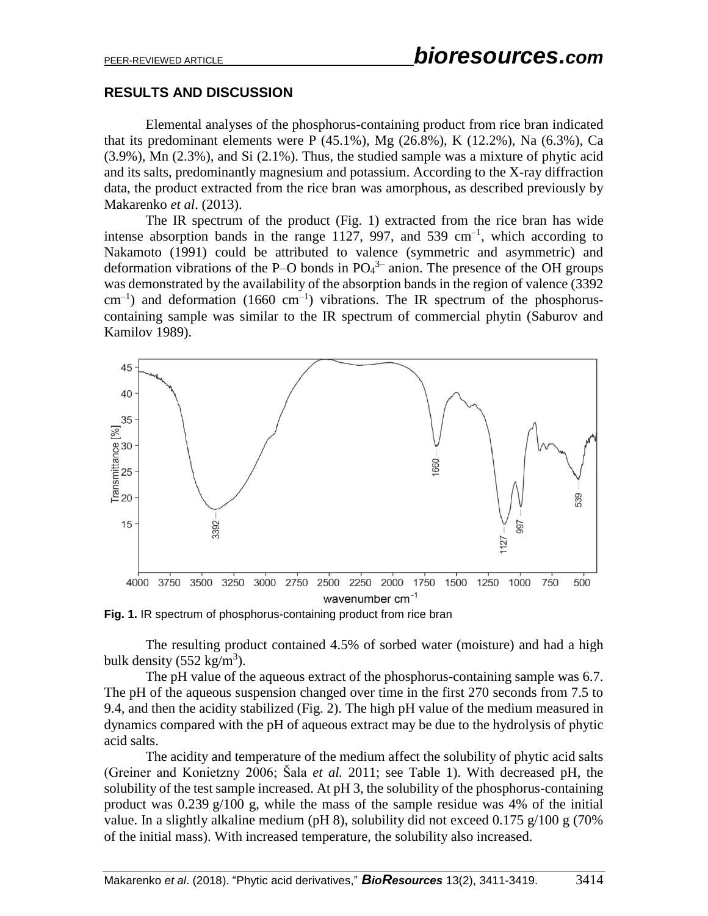#### **RESULTS AND DISCUSSION**

Elemental analyses of the phosphorus-containing product from rice bran indicated that its predominant elements were P  $(45.1\%)$ , Mg  $(26.8\%)$ , K  $(12.2\%)$ , Na  $(6.3\%)$ , Ca (3.9%), Mn (2.3%), and Si (2.1%). Thus, the studied sample was a mixture of phytic acid and its salts, predominantly magnesium and potassium. According to the X-ray diffraction data, the product extracted from the rice bran was amorphous, as described previously by Makarenko *et al*. (2013).

The IR spectrum of the product (Fig. 1) extracted from the rice bran has wide intense absorption bands in the range 1127, 997, and 539  $cm^{-1}$ , which according to Nakamoto (1991) could be attributed to valence (symmetric and asymmetric) and deformation vibrations of the P–O bonds in  $PO<sub>4</sub><sup>3-</sup>$  anion. The presence of the OH groups was demonstrated by the availability of the absorption bands in the region of valence (3392  $\text{cm}^{-1}$ ) and deformation (1660 cm<sup>-1</sup>) vibrations. The IR spectrum of the phosphoruscontaining sample was similar to the IR spectrum of commercial phytin (Saburov and Kamilov 1989).



**Fig. 1.** IR spectrum of phosphorus-containing product from rice bran

The resulting product contained 4.5% of sorbed water (moisture) and had a high bulk density  $(552 \text{ kg/m}^3)$ .

The pH value of the aqueous extract of the phosphorus-containing sample was 6.7. The pH of the aqueous suspension changed over time in the first 270 seconds from 7.5 to 9.4, and then the acidity stabilized (Fig. 2). The high pH value of the medium measured in dynamics compared with the pH of aqueous extract may be due to the hydrolysis of phytic acid salts.

The acidity and temperature of the medium affect the solubility of phytic acid salts (Greiner and Konietzny 2006; Šala *et al.* 2011; see Table 1). With decreased pH, the solubility of the test sample increased. At pH 3, the solubility of the phosphorus-containing product was 0.239 g/100 g, while the mass of the sample residue was 4% of the initial value. In a slightly alkaline medium (pH 8), solubility did not exceed  $0.175$  g/100 g (70%) of the initial mass). With increased temperature, the solubility also increased.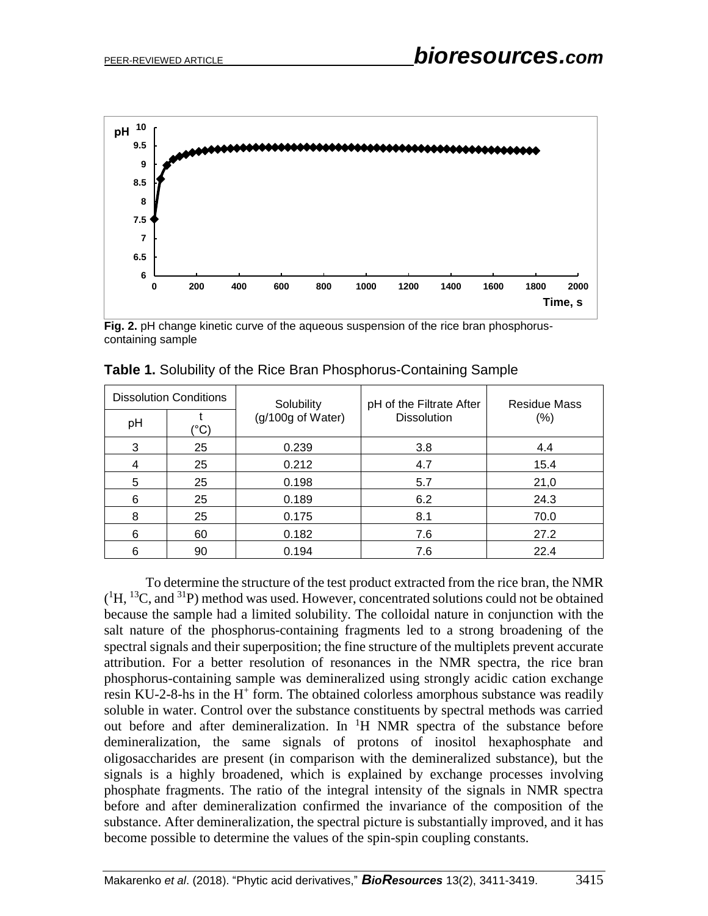

**Fig. 2.** pH change kinetic curve of the aqueous suspension of the rice bran phosphoruscontaining sample

| <b>Dissolution Conditions</b> |                 | Solubility        | pH of the Filtrate After | Residue Mass |
|-------------------------------|-----------------|-------------------|--------------------------|--------------|
| pH                            | $\rm ^{\circ}C$ | (g/100g of Water) | <b>Dissolution</b>       | $(\% )$      |
| 3                             | 25              | 0.239             | 3.8                      | 4.4          |
| 4                             | 25              | 0.212             | 4.7                      | 15.4         |
| 5                             | 25              | 0.198             | 5.7                      | 21,0         |
| 6                             | 25              | 0.189             | 6.2                      | 24.3         |
| 8                             | 25              | 0.175             | 8.1                      | 70.0         |
| 6                             | 60              | 0.182             | 7.6                      | 27.2         |
| 6                             | 90              | 0.194             | 7.6                      | 22.4         |

**Table 1.** Solubility of the Rice Bran Phosphorus-Containing Sample

To determine the structure of the test product extracted from the rice bran, the NMR  $(^1H, ^{13}C,$  and  $^{31}P)$  method was used. However, concentrated solutions could not be obtained because the sample had a limited solubility. The colloidal nature in conjunction with the salt nature of the phosphorus-containing fragments led to a strong broadening of the spectral signals and their superposition; the fine structure of the multiplets prevent accurate attribution. For a better resolution of resonances in the NMR spectra, the rice bran phosphorus-containing sample was demineralized using strongly acidic cation exchange resin KU-2-8-hs in the  $H^+$  form. The obtained colorless amorphous substance was readily soluble in water. Control over the substance constituents by spectral methods was carried out before and after demineralization. In  ${}^{1}H$  NMR spectra of the substance before demineralization, the same signals of protons of inositol hexaphosphate and oligosaccharides are present (in comparison with the demineralized substance), but the signals is a highly broadened, which is explained by exchange processes involving phosphate fragments. The ratio of the integral intensity of the signals in NMR spectra before and after demineralization confirmed the invariance of the composition of the substance. After demineralization, the spectral picture is substantially improved, and it has become possible to determine the values of the spin-spin coupling constants.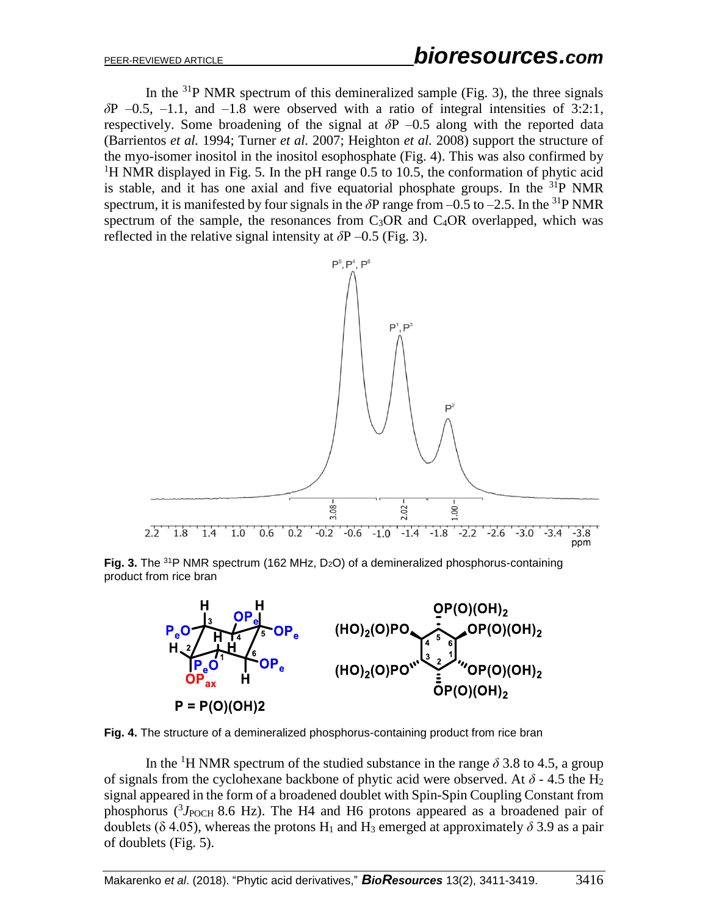In the  $31P$  NMR spectrum of this demineralized sample (Fig. 3), the three signals *δ*P –0.5, –1.1, and –1.8 were observed with a ratio of integral intensities of 3:2:1, respectively. Some broadening of the signal at *δ*P –0.5 along with the reported data (Barrientos *et al.* 1994; Turner *et al.* 2007; Heighton *et al.* 2008) support the structure of the myo-isomer inositol in the inositol esophosphate (Fig. 4). This was also confirmed by <sup>1</sup>H NMR displayed in Fig. 5. In the pH range 0.5 to 10.5, the conformation of phytic acid is stable, and it has one axial and five equatorial phosphate groups. In the  $^{31}P$  NMR spectrum, it is manifested by four signals in the  $\delta P$  range from –0.5 to –2.5. In the <sup>31</sup>P NMR spectrum of the sample, the resonances from  $C_3OR$  and  $C_4OR$  overlapped, which was reflected in the relative signal intensity at  $\delta P - 0.5$  (Fig. 3).



**Fig. 3.** The <sup>31</sup>P NMR spectrum (162 MHz, D<sub>2</sub>O) of a demineralized phosphorus-containing product from rice bran



**Fig. 4.** The structure of a demineralized phosphorus-containing product from rice bran

In the <sup>1</sup>H NMR spectrum of the studied substance in the range  $\delta$  3.8 to 4.5, a group of signals from the cyclohexane backbone of phytic acid were observed. At  $\delta$  - 4.5 the H<sub>2</sub> signal appeared in the form of a broadened doublet with Spin-Spin Coupling Constant from phosphorus  $(^3J_{\text{POCH}}$  8.6 Hz). The H4 and H6 protons appeared as a broadened pair of doublets ( $\delta$  4.05), whereas the protons H<sub>1</sub> and H<sub>3</sub> emerged at approximately  $\delta$  3.9 as a pair of doublets (Fig. 5).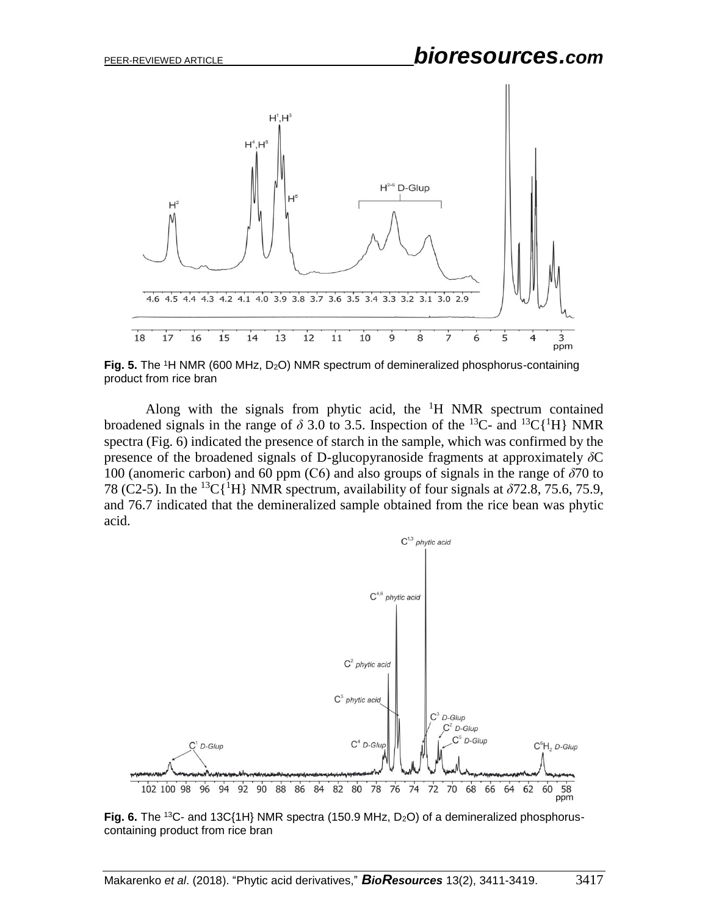

**Fig. 5.** The <sup>1</sup>H NMR (600 MHz, D2O) NMR spectrum of demineralized phosphorus-containing product from rice bran

Along with the signals from phytic acid, the  ${}^{1}H$  NMR spectrum contained broadened signals in the range of  $\delta$  3.0 to 3.5. Inspection of the <sup>13</sup>C- and <sup>13</sup>C{<sup>1</sup>H} NMR spectra (Fig. 6) indicated the presence of starch in the sample, which was confirmed by the presence of the broadened signals of D-glucopyranoside fragments at approximately *δ*C 100 (anomeric carbon) and 60 ppm (С6) and also groups of signals in the range of *δ*70 to 78 (C2-5). In the <sup>13</sup>C{<sup>1</sup>H} NMR spectrum, availability of four signals at  $\delta$ 72.8, 75.6, 75.9, and 76.7 indicated that the demineralized sample obtained from the rice bean was phytic acid.



**Fig. 6.** The <sup>13</sup>C- and 13C{1H} NMR spectra (150.9 MHz, D<sub>2</sub>O) of a demineralized phosphoruscontaining product from rice bran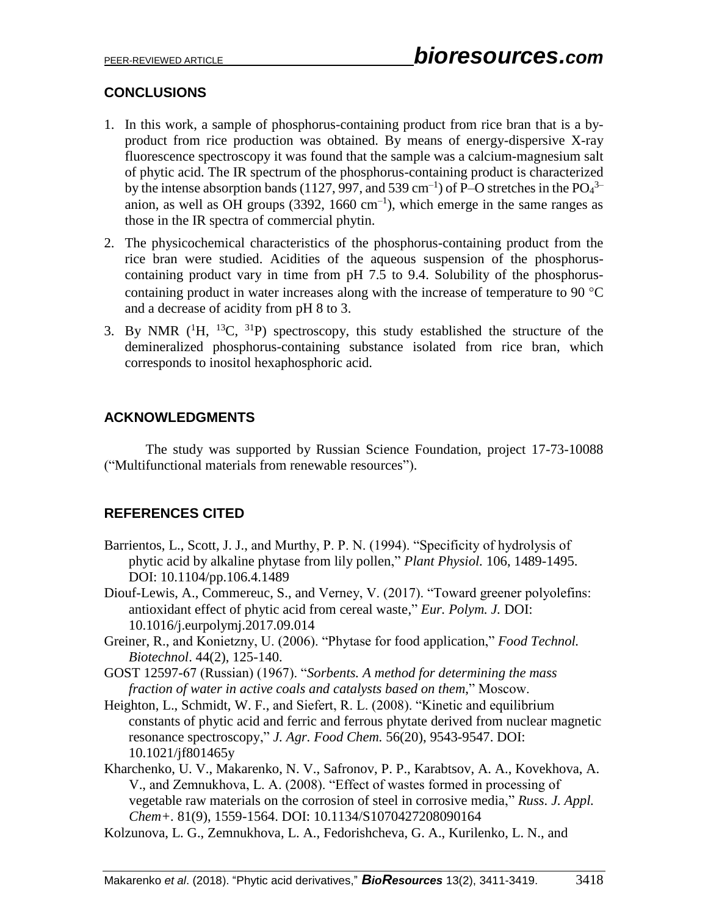## **CONCLUSIONS**

- 1. In this work, a sample of phosphorus-containing product from rice bran that is a byproduct from rice production was obtained. By means of energy-dispersive X-ray fluorescence spectroscopy it was found that the sample was a calcium-magnesium salt of phytic acid. The IR spectrum of the phosphorus-containing product is characterized by the intense absorption bands (1127, 997, and 539 cm<sup>-1</sup>) of P-O stretches in the PO<sub>4</sub><sup>3-</sup> anion, as well as OH groups  $(3392, 1660 \text{ cm}^{-1})$ , which emerge in the same ranges as those in the IR spectra of commercial phytin.
- 2. The physicochemical characteristics of the phosphorus-containing product from the rice bran were studied. Acidities of the aqueous suspension of the phosphoruscontaining product vary in time from pH 7.5 to 9.4. Solubility of the phosphoruscontaining product in water increases along with the increase of temperature to 90  $^{\circ}$ C and a decrease of acidity from pH 8 to 3.
- 3. By NMR  $(^1H, {}^{13}C, {}^{31}P)$  spectroscopy, this study established the structure of the demineralized phosphorus-containing substance isolated from rice bran, which corresponds to inositol hexaphosphoric acid.

## **ACKNOWLEDGMENTS**

The study was supported by Russian Science Foundation, project 17-73-10088 ("Multifunctional materials from renewable resources").

## **REFERENCES CITED**

- Barrientos, L., Scott, J. J., and Murthy, P. P. N. (1994). "Specificity of hydrolysis of phytic acid by alkaline phytase from lily pollen," *Plant Physiol.* 106, 1489-1495. DOI: 10.1104/pp.106.4.1489
- Diouf-Lewis, A., Commereuc, S., and Verney, V. (2017). "Toward greener polyolefins: antioxidant effect of phytic acid from cereal waste," *Eur. Polym. J.* DOI: 10.1016/j.eurpolymj.2017.09.014
- Greiner, R., and Konietzny, U. (2006). "Phytase for food application," *Food Technol. Biotechnol*. 44(2), 125-140.
- GOST 12597-67 (Russian) (1967). "*Sorbents. A method for determining the mass fraction of water in active coals and catalysts based on them*," Moscow.
- Heighton, L., Schmidt, W. F., and Siefert, R. L. (2008). "Kinetic and equilibrium constants of phytic acid and ferric and ferrous phytate derived from nuclear magnetic resonance spectroscopy," *J. Agr. Food Chem.* 56(20), 9543-9547. DOI: 10.1021/jf801465y
- Kharchenko, U. V., Makarenko, N. V., Safronov, P. P., Karabtsov, A. A., Kovekhova, A. V., and Zemnukhova, L. A. (2008). "Effect of wastes formed in processing of vegetable raw materials on the corrosion of steel in corrosive media," *Russ. J. Appl. Chem+.* 81(9), 1559-1564. DOI: 10.1134/S1070427208090164
- Kolzunova, L. G., Zemnukhova, L. A., Fedorishcheva, G. A., Kurilenko, L. N., and